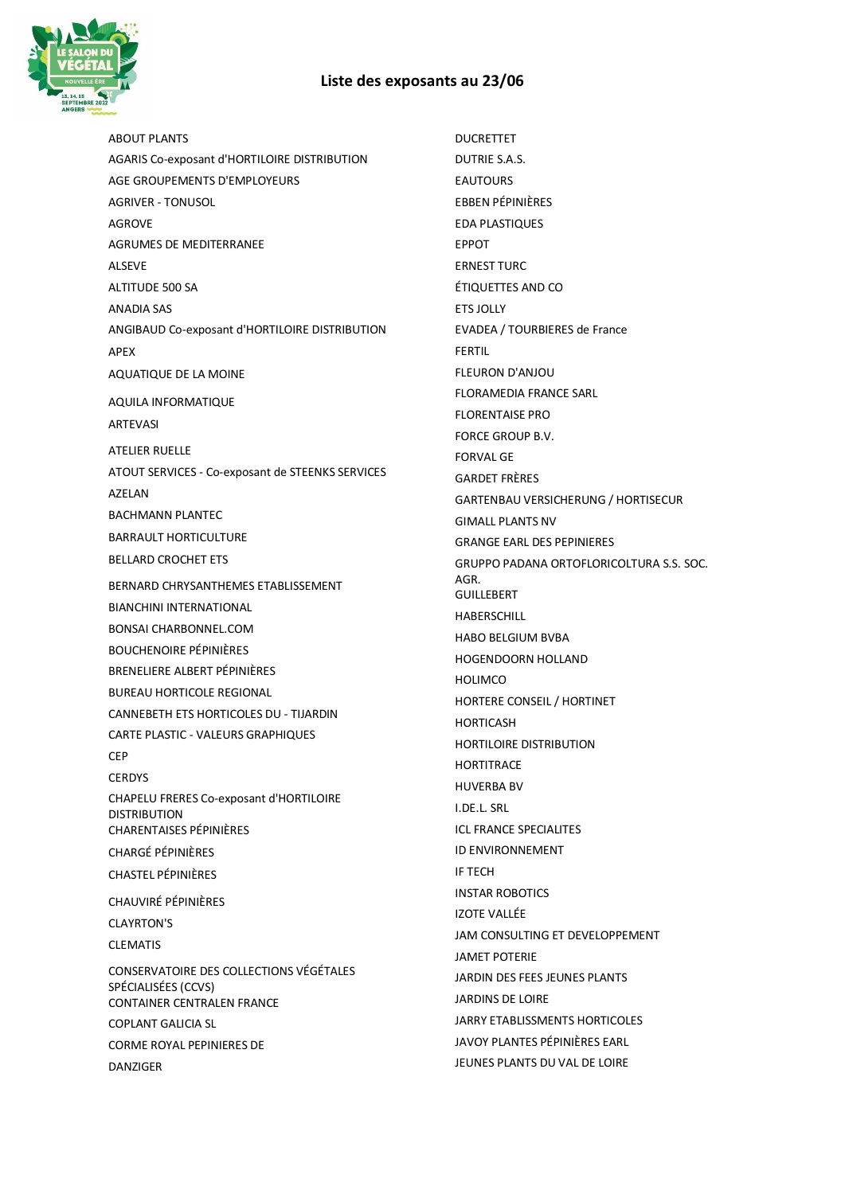## **Liste des exposants au 23/06**



ABOUT PLANTS AGARIS Co-exposant d'HORTILOIRE DISTRIBUTION AGE GROUPEMENTS D'EMPLOYEURS AGRIVER - TONUSOL AGROVE AGRUMES DE MEDITERRANEE ALSEVE ALTITUDE 500 SA ANADIA SAS ANGIBAUD Co-exposant d'HORTILOIRE DISTRIBUTION APEX AQUATIQUE DE LA MOINE AQUILA INFORMATIQUE ARTEVASI ATELIER RUELLE ATOUT SERVICES - Co-exposant de STEENKS SERVICES AZELAN BACHMANN PLANTEC BARRAULT HORTICULTURE BELLARD CROCHET ETS BERNARD CHRYSANTHEMES ETABLISSEMENT BIANCHINI INTERNATIONAL BONSAI CHARBONNEL.COM BOUCHENOIRE PÉPINIÈRES BRENELIERE ALBERT PÉPINIÈRES BUREAU HORTICOLE REGIONAL CANNEBETH ETS HORTICOLES DU - TIJARDIN CARTE PLASTIC - VALEURS GRAPHIQUES CEP **CERDYS** CHAPELU FRERES Co-exposant d'HORTILOIRE DISTRIBUTION CHARENTAISES PÉPINIÈRES CHARGÉ PÉPINIÈRES CHASTEL PÉPINIÈRES CHAUVIRÉ PÉPINIÈRES CLAYRTON'S CLEMATIS CONSERVATOIRE DES COLLECTIONS VÉGÉTALES SPÉCIALISÉES (CCVS) CONTAINER CENTRALEN FRANCE COPLANT GALICIA SL CORME ROYAL PEPINIERES DE DANZIGER

DUCRETTET DUTRIE S.A.S. EAUTOURS EBBEN PÉPINIÈRES EDA PLASTIQUES EPPOT ERNEST TURC ÉTIQUETTES AND CO ETS JOLLY EVADEA / TOURBIERES de France FERTIL FLEURON D'ANJOU FLORAMEDIA FRANCE SARL FLORENTAISE PRO FORCE GROUP B.V. FORVAL GE GARDET FRÈRES GARTENBAU VERSICHERUNG / HORTISECUR GIMALL PLANTS NV GRANGE EARL DES PEPINIERES GRUPPO PADANA ORTOFLORICOLTURA S.S. SOC. AGR. **GUILLEBERT HABERSCHILL** HABO BELGIUM BVBA HOGENDOORN HOLLAND HOLIMCO HORTERE CONSEIL / HORTINET HORTICASH HORTILOIRE DISTRIBUTION **HORTITRACE** HUVERBA BV I.DE.L. SRL ICL FRANCE SPECIALITES ID ENVIRONNEMENT IF TECH INSTAR ROBOTICS IZOTE VALLÉE JAM CONSULTING ET DEVELOPPEMENT JAMET POTERIE JARDIN DES FEES JEUNES PLANTS JARDINS DE LOIRE JARRY ETABLISSMENTS HORTICOLES JAVOY PLANTES PÉPINIÈRES EARL JEUNES PLANTS DU VAL DE LOIRE